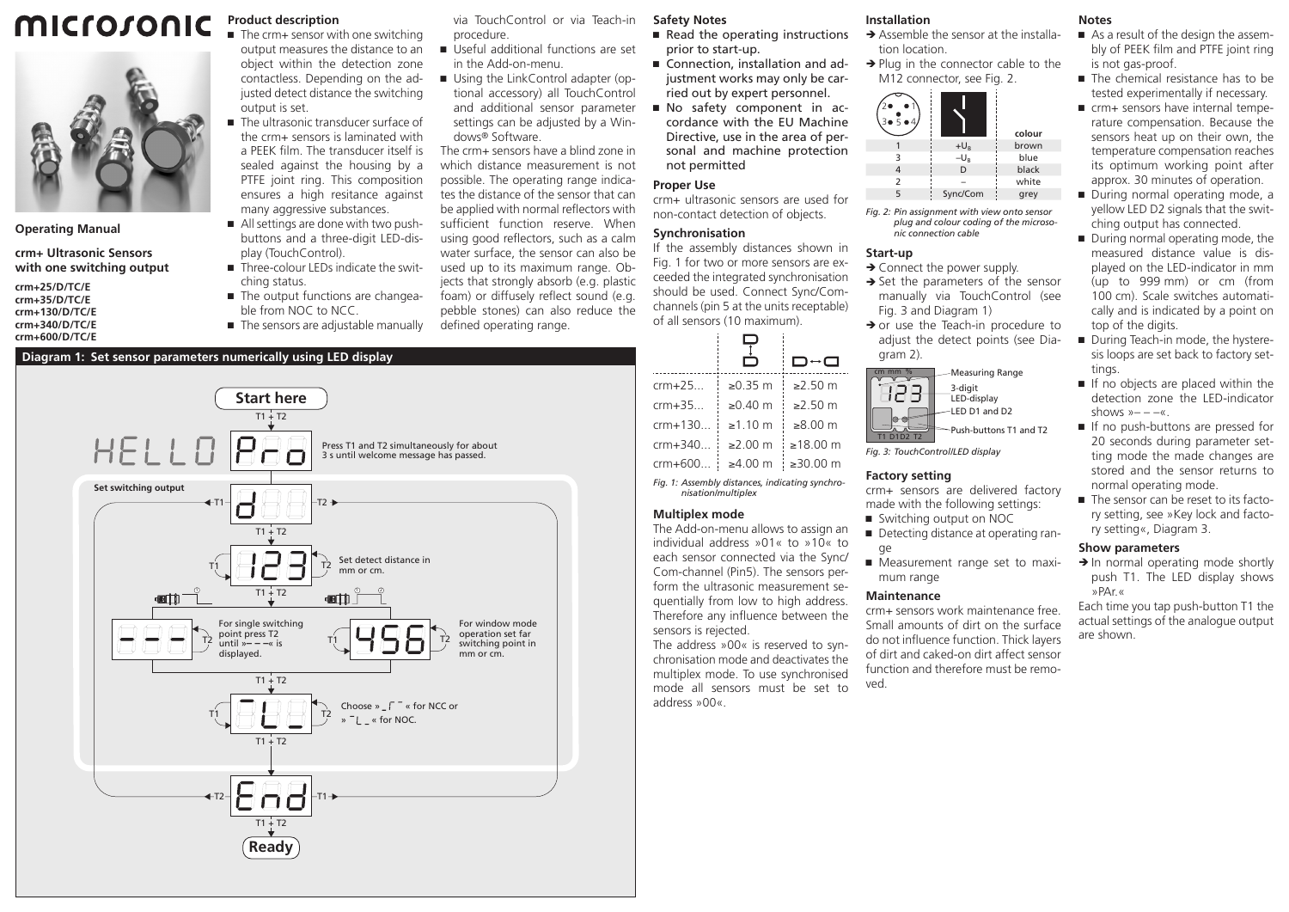#### microsonic **Product description**  $\blacksquare$  The crm+ sensor with one switching



**Operating Manual**

**crm+ Ultrasonic Sensors with one switching output**

**crm+35/D/TC/E crm+130/D/TC/E crm+340/D/TC/E crm+600/D/TC/E**

**crm+25/D/TC/E**

■ The sensors are adjustable manually **Diagram 1: Set sensor parameters numerically using LED display**

via TouchControl or via Teach-in procedure.

- output measures the distance to an object within the detection zone Ԏ Useful additional functions are set in the Add-on-menu.
	- Using the LinkControl adapter (optional accessory) all TouchControl and additional sensor parameter settings can be adjusted by a Windows® Software.

The crm+ sensors have a blind zone in which distance measurement is not possible. The operating range indicates the distance of the sensor that can be applied with normal reflectors with sufficient function reserve. When using good reflectors, such as a calm water surface, the sensor can also be used up to its maximum range. Objects that strongly absorb (e.g. plastic foam) or diffusely reflect sound (e.g. pebble stones) can also reduce the defined operating range.

## **Safety Notes**

- Read the operating instructions prior to start-up.
- Connection, installation and adjustment works may only be carried out by expert personnel.
- Ԏ No safety component in accordance with the EU Machine Directive, use in the area of personal and machine protection not permitted

## **Proper Use**

crm+ ultrasonic sensors are used for non-contact detection of objects.

## **Synchronisation**

If the assembly distances shown in Fig. 1 for two or more sensors are exceeded the integrated synchronisation should be used. Connect Sync/Comchannels (pin 5 at the units receptable) of all sensors (10 maximum).

|                                                                       | D↔a               |  |
|-----------------------------------------------------------------------|-------------------|--|
| $\geq 0.35$ m                                                         | $≥2.50$ m         |  |
| $≥0.40$ m                                                             | $\geq$ 2.50 m     |  |
| $\geq 1.10$ m                                                         | $>8.00 \text{ m}$ |  |
| $\geq$ 2.00 m                                                         | ≥18.00 m          |  |
| $≥4.00$ m                                                             | ≥30.00 m          |  |
| Fig. 1: Assembly distances, indicating synchro-<br>nisation/multiplex |                   |  |
|                                                                       |                   |  |

### **Multiplex mode**

sensors is rejected.

The address »00« is reserved to synchronisation mode and deactivates the multiplex mode. To use synchronised mode all sensors must be set to address »00«.

# **Installation**

- $\rightarrow$  Assemble the sensor at the installation location.
- $\rightarrow$  Plug in the connector cable to the M12 connector, see Fig. 2.



*Fig. 2: Pin assignment with view onto sensor plug and colour coding of the microsonic connection cable*

### **Start-up**

- $\rightarrow$  Connect the power supply.
- $\rightarrow$  Set the parameters of the sensor manually via TouchControl (see Fig. 3 and Diagram 1)
- $\rightarrow$  or use the Teach-in procedure to adjust the detect points (see Diagram 2)



*Fig. 3: TouchControl/LED display*

### **Factory setting**

- crm+ sensors are delivered factory made with the following settings:
- Switching output on NOC ■ Detecting distance at operating ran-
- ge ■ Measurement range set to maximum range

### **Maintenance**

crm+ sensors work maintenance free. Small amounts of dirt on the surface do not influence function. Thick layers of dirt and caked-on dirt affect sensor function and therefore must be removed.

## **Notes**

- As a result of the design the assembly of PEEK film and PTFE joint ring is not gas-proof.
- $\blacksquare$  The chemical resistance has to be tested experimentally if necessary.
- crm+ sensors have internal temperature compensation. Because the sensors heat up on their own, the temperature compensation reaches its optimum working point after approx. 30 minutes of operation.
- During normal operating mode, a yellow LED D2 signals that the switching output has connected.
- During normal operating mode, the measured distance value is displayed on the LED-indicator in mm (up to 999 mm) or cm (from 100 cm). Scale switches automatically and is indicated by a point on top of the digits.
- During Teach-in mode, the hysteresis loops are set back to factory settings.
- If no objects are placed within the detection zone the LED-indicator shows  $v = -\alpha$ .
- If no push-buttons are pressed for 20 seconds during parameter setting mode the made changes are stored and the sensor returns to normal operating mode.
- The sensor can be reset to its factory setting, see »Key lock and factory setting«, Diagram 3.

#### **Show parameters**

 $\rightarrow$  In normal operating mode shortly push T1. The LED display shows »PAr.«

Each time you tap push-button T1 the actual settings of the analogue output are shown.



contactless. Depending on the adjusted detect distance the switching

■ The ultrasonic transducer surface of the crm+ sensors is laminated with a PEEK film. The transducer itself is sealed against the housing by a PTFE joint ring. This composition ensures a high resitance against many aggressive substances. ■ All settings are done with two pushbuttons and a three-digit LED-dis-

■ Three-colour LEDs indicate the swit-

■ The output functions are changeable from NOC to NCC.

output is set.

play (TouchControl).

ching status.

à.

The Add-on-menu allows to assign an individual address »01« to »10« to each sensor connected via the Sync/ Com-channel (Pin5). The sensors perform the ultrasonic measurement sequentially from low to high address. Therefore any influence between the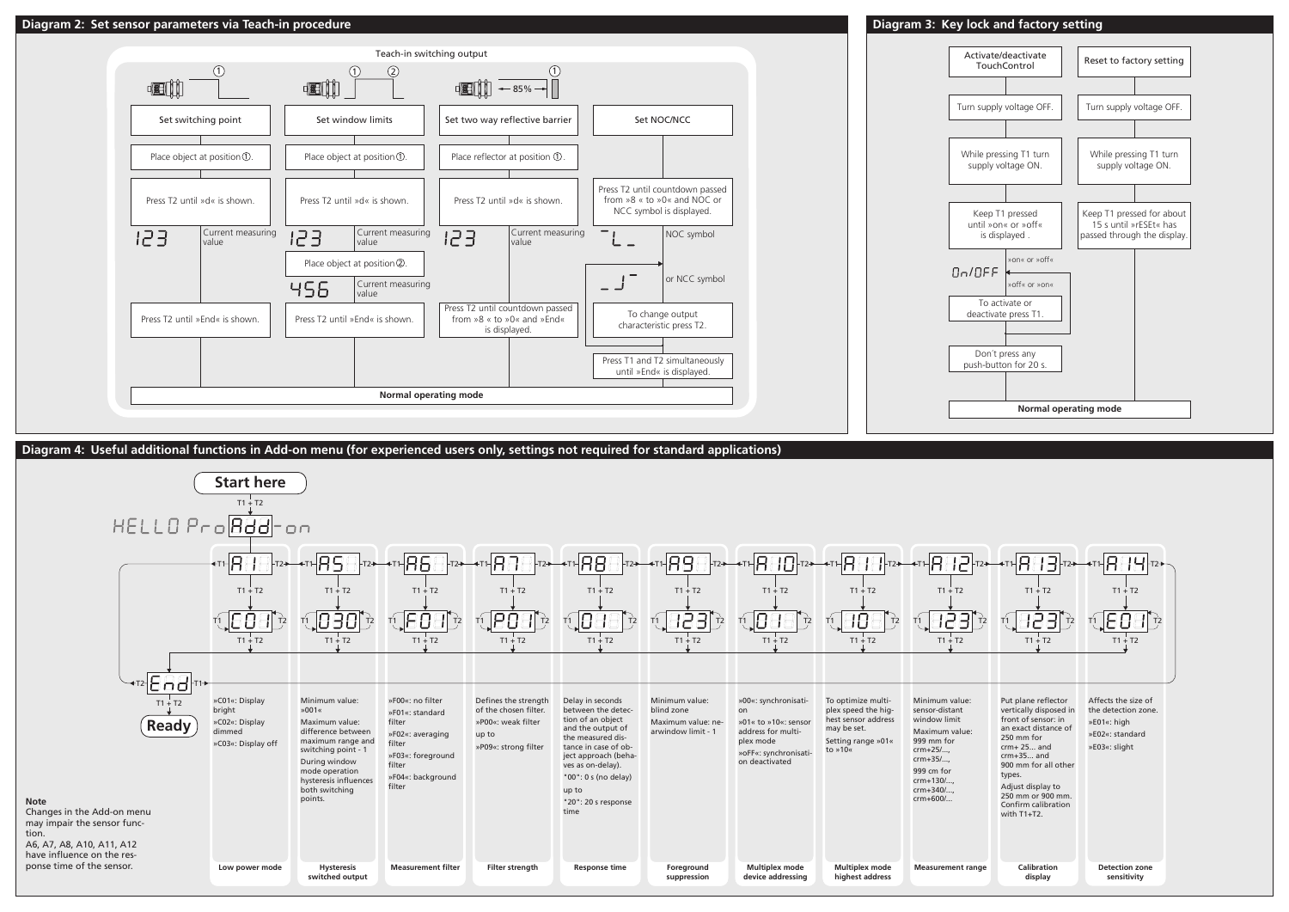